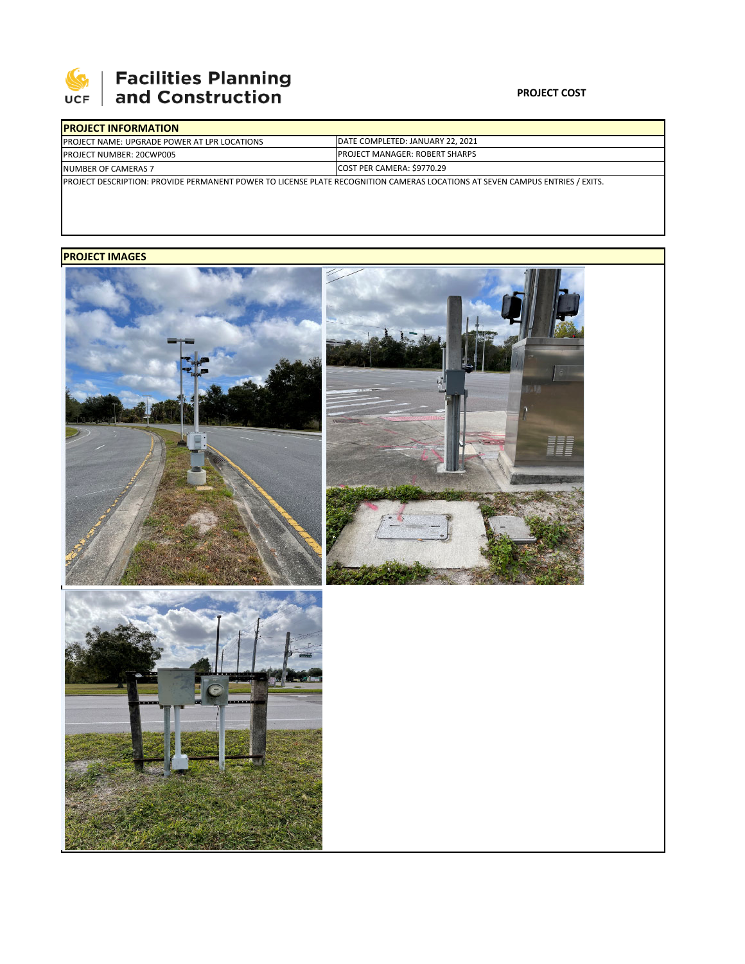

# **Facilities Planning<br>and Construction**

### **PROJECT COST**

| <b>IPROJECT INFORMATION</b>                                                                                                          |                                        |  |  |  |
|--------------------------------------------------------------------------------------------------------------------------------------|----------------------------------------|--|--|--|
| <b>PROJECT NAME: UPGRADE POWER AT LPR LOCATIONS</b>                                                                                  | DATE COMPLETED: JANUARY 22, 2021       |  |  |  |
| <b>PROJECT NUMBER: 20CWP005</b>                                                                                                      | <b>IPROJECT MANAGER: ROBERT SHARPS</b> |  |  |  |
| NUMBER OF CAMERAS 7                                                                                                                  | COST PER CAMERA: \$9770.29             |  |  |  |
| <b>IPROJECT DESCRIPTION: PROVIDE PERMANENT POWER TO LICENSE PLATE RECOGNITION CAMERAS LOCATIONS AT SEVEN CAMPUS ENTRIES / EXITS.</b> |                                        |  |  |  |

## **PROJECT IMAGES**